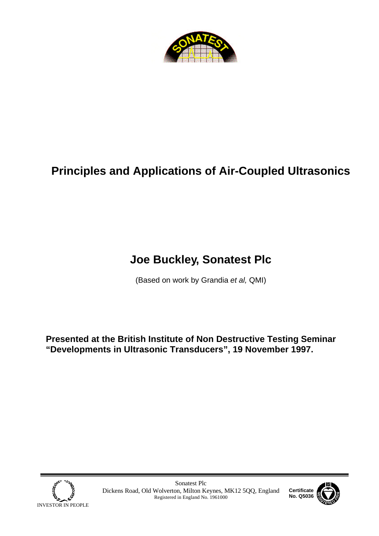

# **Principles and Applications of Air-Coupled Ultrasonics**

# **Joe Buckley, Sonatest Plc**

(Based on work by Grandia *et al,* QMI)

**Presented at the British Institute of Non Destructive Testing Seminar "Developments in Ultrasonic Transducers", 19 November 1997.**



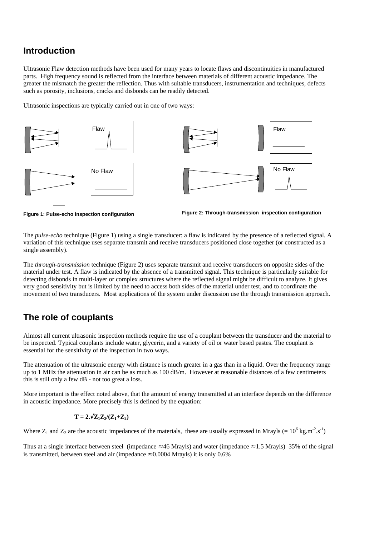### **Introduction**

Ultrasonic Flaw detection methods have been used for many years to locate flaws and discontinuities in manufactured parts. High frequency sound is reflected from the interface between materials of different acoustic impedance. The greater the mismatch the greater the reflection. Thus with suitable transducers, instrumentation and techniques, defects such as porosity, inclusions, cracks and disbonds can be readily detected.

Ultrasonic inspections are typically carried out in one of two ways:





**Figure 1: Pulse-echo inspection configuration**



The *pulse-echo* technique (Figure 1) using a single transducer: a flaw is indicated by the presence of a reflected signal. A variation of this technique uses separate transmit and receive transducers positioned close together (or constructed as a single assembly).

The *through-transmission* technique (Figure 2) uses separate transmit and receive transducers on opposite sides of the material under test. A flaw is indicated by the absence of a transmitted signal. This technique is particularly suitable for detecting disbonds in multi-layer or complex structures where the reflected signal might be difficult to analyze. It gives very good sensitivity but is limited by the need to access both sides of the material under test, and to coordinate the movement of two transducers. Most applications of the system under discussion use the through transmission approach.

#### **The role of couplants**

Almost all current ultrasonic inspection methods require the use of a couplant between the transducer and the material to be inspected. Typical couplants include water, glycerin, and a variety of oil or water based pastes. The couplant is essential for the sensitivity of the inspection in two ways.

The attenuation of the ultrasonic energy with distance is much greater in a gas than in a liquid. Over the frequency range up to 1 MHz the attenuation in air can be as much as 100 dB/m. However at reasonable distances of a few centimeters this is still only a few dB - not too great a loss.

More important is the effect noted above, that the amount of energy transmitted at an interface depends on the difference in acoustic impedance. More precisely this is defined by the equation:

$$
\mathbf{T} = 2.\sqrt{\mathbf{Z}_1 \mathbf{Z}_2/(\mathbf{Z}_1 + \mathbf{Z}_2)}
$$

Where  $Z_1$  and  $Z_2$  are the acoustic impedances of the materials, these are usually expressed in Mrayls (=  $10^6$  kg.m<sup>-2</sup>.s<sup>-1</sup>)

Thus at a single interface between steel (impedance  $\approx 46$  Mrayls) and water (impedance  $\approx 1.5$  Mrayls) 35% of the signal is transmitted, between steel and air (impedance  $\approx 0.0004$  Mrayls) it is only 0.6%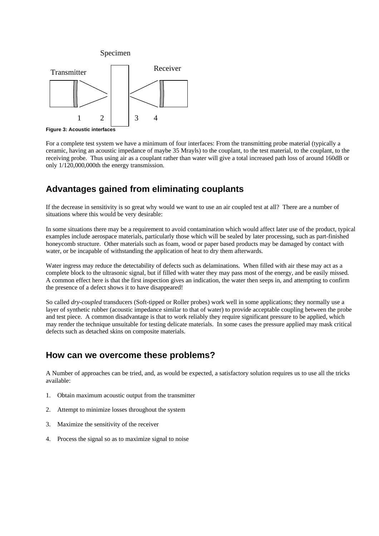

**Figure 3: Acoustic interfaces**

For a complete test system we have a minimum of four interfaces: From the transmitting probe material (typically a ceramic, having an acoustic impedance of maybe 35 Mrayls) to the couplant, to the test material, to the couplant, to the receiving probe. Thus using air as a couplant rather than water will give a total increased path loss of around 160dB or only 1/120,000,000th the energy transmission.

## **Advantages gained from eliminating couplants**

If the decrease in sensitivity is so great why would we want to use an air coupled test at all? There are a number of situations where this would be very desirable:

In some situations there may be a requirement to avoid contamination which would affect later use of the product, typical examples include aerospace materials, particularly those which will be sealed by later processing, such as part-finished honeycomb structure. Other materials such as foam, wood or paper based products may be damaged by contact with water, or be incapable of withstanding the application of heat to dry them afterwards.

Water ingress may reduce the detectability of defects such as delaminations. When filled with air these may act as a complete block to the ultrasonic signal, but if filled with water they may pass most of the energy, and be easily missed. A common effect here is that the first inspection gives an indication, the water then seeps in, and attempting to confirm the presence of a defect shows it to have disappeared!

So called *dry-coupled* transducers (Soft-tipped or Roller probes) work well in some applications; they normally use a layer of synthetic rubber (acoustic impedance similar to that of water) to provide acceptable coupling between the probe and test piece. A common disadvantage is that to work reliably they require significant pressure to be applied, which may render the technique unsuitable for testing delicate materials. In some cases the pressure applied may mask critical defects such as detached skins on composite materials.

### **How can we overcome these problems?**

A Number of approaches can be tried, and, as would be expected, a satisfactory solution requires us to use all the tricks available:

- 1. Obtain maximum acoustic output from the transmitter
- 2. Attempt to minimize losses throughout the system
- 3. Maximize the sensitivity of the receiver
- 4. Process the signal so as to maximize signal to noise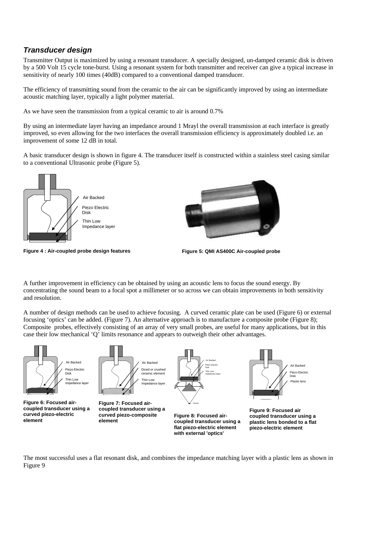#### *Transducer design*

Transmitter Output is maximized by using a resonant transducer. A specially designed, un-damped ceramic disk is driven by a 500 Volt 15 cycle tone-burst. Using a resonant system for both transmitter and receiver can give a typical increase in sensitivity of nearly 100 times (40dB) compared to a conventional damped transducer.

The efficiency of transmitting sound from the ceramic to the air can be significantly improved by using an intermediate acoustic matching layer, typically a light polymer material.

As we have seen the transmission from a typical ceramic to air is around 0.7%

By using an intermediate layer having an impedance around 1 Mrayl the overall transmission at each interface is greatly improved, so even allowing for the two interfaces the overall transmission efficiency is approximately doubled i.e. an improvement of some 12 dB in total.

A basic transducer design is shown in figure 4. The transducer itself is constructed within a stainless steel casing similar to a conventional Ultrasonic probe (Figure 5).



**Figure 4 : Air-coupled probe design features Figure 5: QMI AS400C Air-coupled probe**

A further improvement in efficiency can be obtained by using an acoustic lens to focus the sound energy. By concentrating the sound beam to a focal spot a millimeter or so across we can obtain improvements in both sensitivity and resolution.

A number of design methods can be used to achieve focusing. A curved ceramic plate can be used (Figure 6) or external focusing 'optics' can be added. (Figure 7). An alternative approach is to manufacture a composite probe (Figure 8); Composite probes, effectively consisting of an array of very small probes, are useful for many applications, but in this case their low mechanical 'Q' limits resonance and appears to outweigh their other advantages.



The most successful uses a flat resonant disk, and combines the impedance matching layer with a plastic lens as shown in Figure 9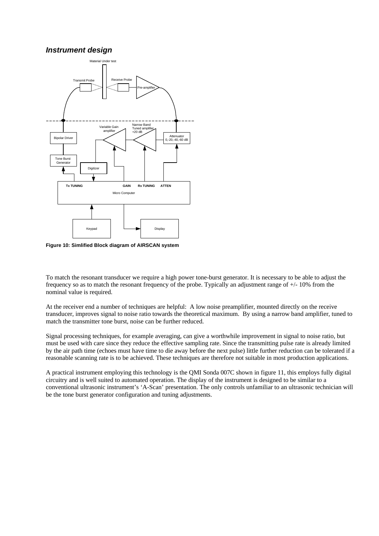#### *Instrument design*



**Figure 10: Simlified Block diagram of AIRSCAN system**

To match the resonant transducer we require a high power tone-burst generator. It is necessary to be able to adjust the frequency so as to match the resonant frequency of the probe. Typically an adjustment range of +/- 10% from the nominal value is required.

At the receiver end a number of techniques are helpful: A low noise preamplifier, mounted directly on the receive transducer, improves signal to noise ratio towards the theoretical maximum. By using a narrow band amplifier, tuned to match the transmitter tone burst, noise can be further reduced.

Signal processing techniques, for example averaging, can give a worthwhile improvement in signal to noise ratio, but must be used with care since they reduce the effective sampling rate. Since the transmitting pulse rate is already limited by the air path time (echoes must have time to die away before the next pulse) little further reduction can be tolerated if a reasonable scanning rate is to be achieved. These techniques are therefore not suitable in most production applications.

A practical instrument employing this technology is the QMI Sonda 007C shown in figure 11, this employs fully digital circuitry and is well suited to automated operation. The display of the instrument is designed to be similar to a conventional ultrasonic instrument's 'A-Scan' presentation. The only controls unfamiliar to an ultrasonic technician will be the tone burst generator configuration and tuning adjustments.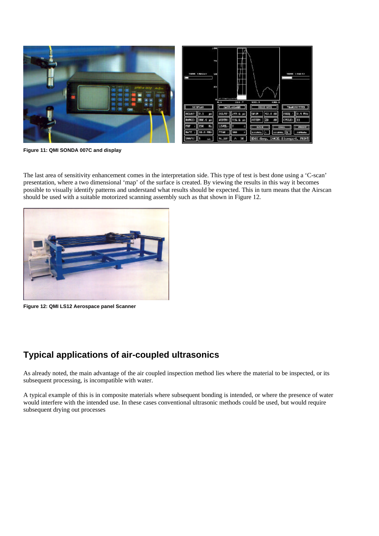

**Figure 11: QMI SONDA 007C and display**

The last area of sensitivity enhancement comes in the interpretation side. This type of test is best done using a 'C-scan' presentation, where a two dimensional 'map' of the surface is created. By viewing the results in this way it becomes possible to visually identify patterns and understand what results should be expected. This in turn means that the Airscan should be used with a suitable motorized scanning assembly such as that shown in Figure 12.



**Figure 12: QMI LS12 Aerospace panel Scanner**

## **Typical applications of air-coupled ultrasonics**

As already noted, the main advantage of the air coupled inspection method lies where the material to be inspected, or its subsequent processing, is incompatible with water.

A typical example of this is in composite materials where subsequent bonding is intended, or where the presence of water would interfere with the intended use. In these cases conventional ultrasonic methods could be used, but would require subsequent drying out processes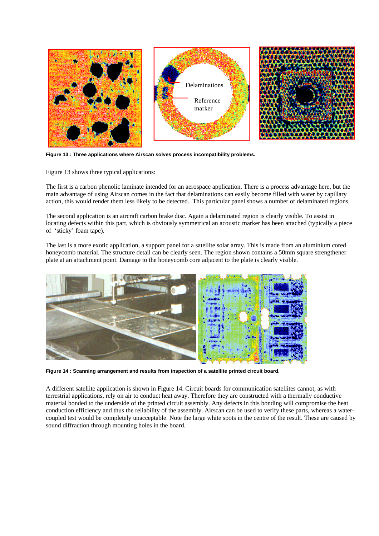

**Figure 13 : Three applications where Airscan solves process incompatibility problems.**

Figure 13 shows three typical applications:

The first is a carbon phenolic laminate intended for an aerospace application. There is a process advantage here, but the main advantage of using Airscan comes in the fact that delaminations can easily become filled with water by capillary action, this would render them less likely to be detected. This particular panel shows a number of delaminated regions.

The second application is an aircraft carbon brake disc. Again a delaminated region is clearly visible. To assist in locating defects within this part, which is obviously symmetrical an acoustic marker has been attached (typically a piece of 'sticky' foam tape).

The last is a more exotic application, a support panel for a satellite solar array. This is made from an aluminium cored honeycomb material. The structure detail can be clearly seen. The region shown contains a 50mm square strengthener plate at an attachment point. Damage to the honeycomb core adjacent to the plate is clearly visible.



**Figure 14 : Scanning arrangement and results from inspection of a satellite printed circuit board.**

A different satellite application is shown in Figure 14. Circuit boards for communication satellites cannot, as with terrestrial applications, rely on air to conduct heat away. Therefore they are constructed with a thermally conductive material bonded to the underside of the printed circuit assembly. Any defects in this bonding will compromise the heat conduction efficiency and thus the reliability of the assembly. Airscan can be used to verify these parts, whereas a watercoupled test would be completely unacceptable. Note the large white spots in the centre of the result. These are caused by sound diffraction through mounting holes in the board.